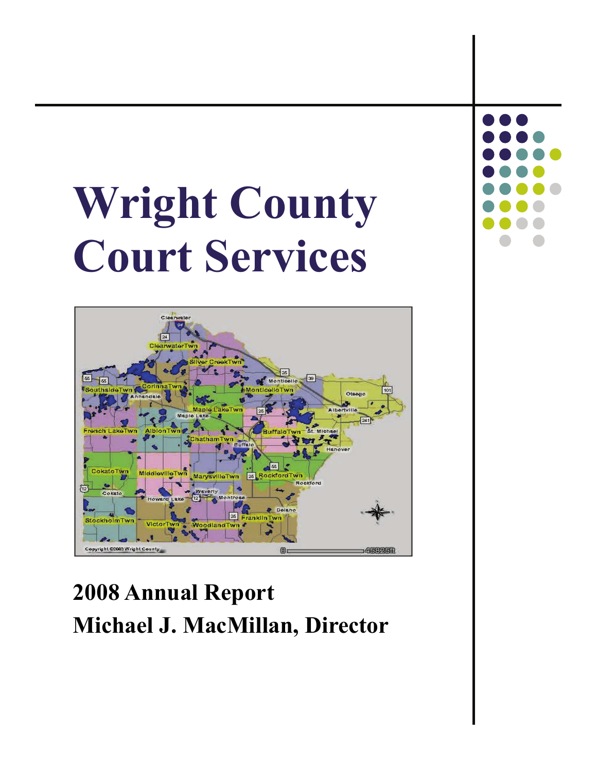# **Wright County Court Services**



## **2008 Annual Report Michael J. MacMillan, Director**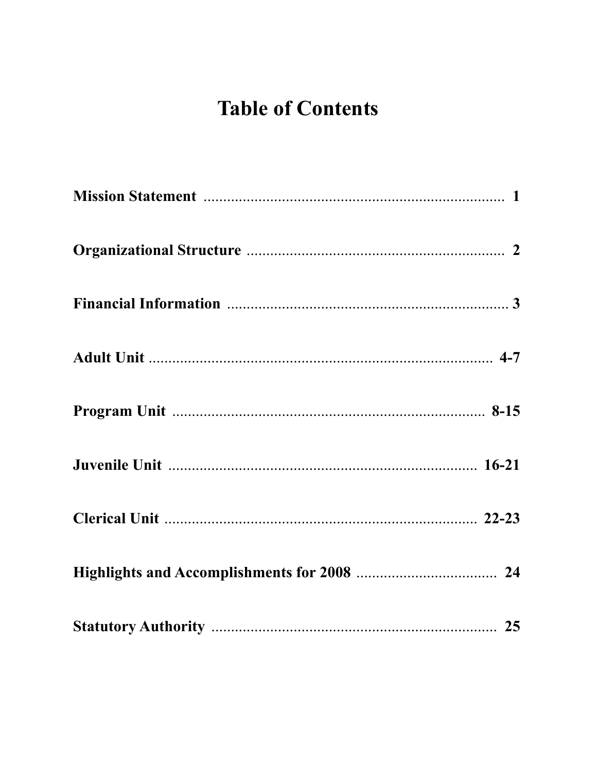## **Table of Contents**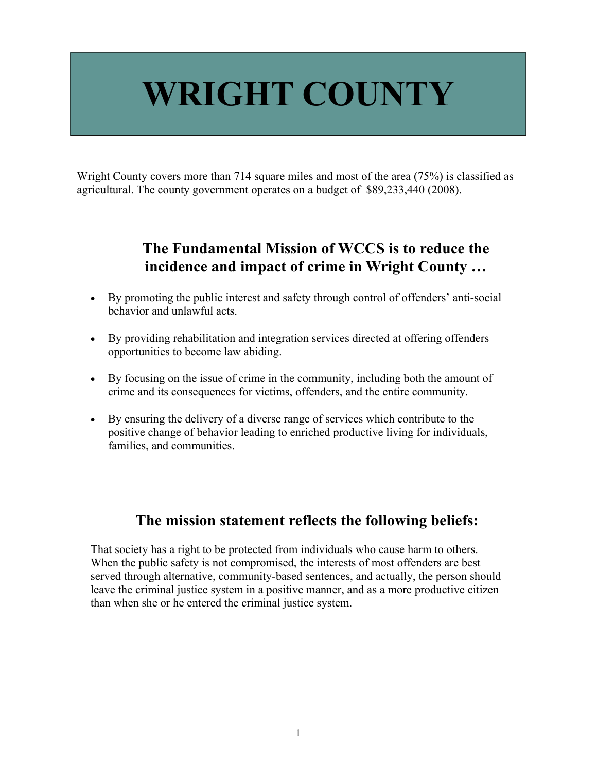## **WRIGHT COUNTY**

Wright County covers more than 714 square miles and most of the area (75%) is classified as agricultural. The county government operates on a budget of \$89,233,440 (2008).

## **The Fundamental Mission of WCCS is to reduce the incidence and impact of crime in Wright County …**

- By promoting the public interest and safety through control of offenders' anti-social behavior and unlawful acts.
- By providing rehabilitation and integration services directed at offering offenders opportunities to become law abiding.
- By focusing on the issue of crime in the community, including both the amount of crime and its consequences for victims, offenders, and the entire community.
- By ensuring the delivery of a diverse range of services which contribute to the positive change of behavior leading to enriched productive living for individuals, families, and communities.

### **The mission statement reflects the following beliefs:**

That society has a right to be protected from individuals who cause harm to others. When the public safety is not compromised, the interests of most offenders are best served through alternative, community-based sentences, and actually, the person should leave the criminal justice system in a positive manner, and as a more productive citizen than when she or he entered the criminal justice system.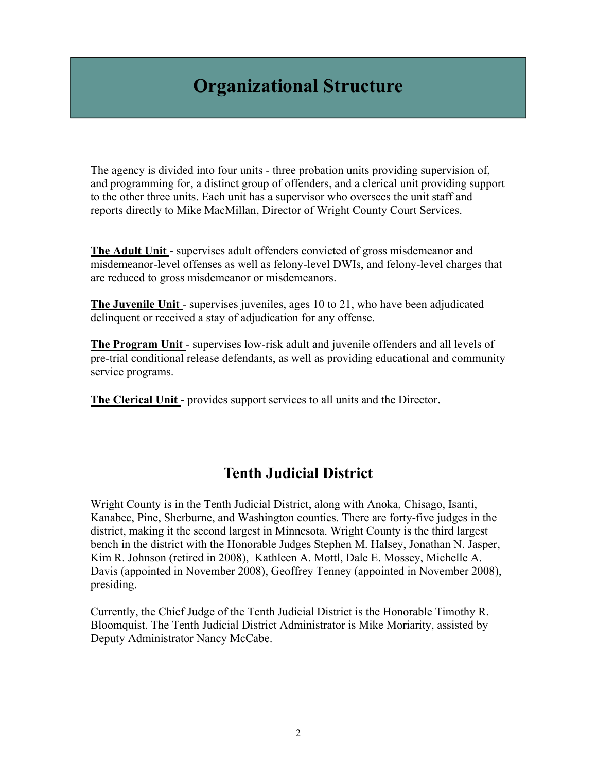## **Organizational Structure**

The agency is divided into four units - three probation units providing supervision of, and programming for, a distinct group of offenders, and a clerical unit providing support to the other three units. Each unit has a supervisor who oversees the unit staff and reports directly to Mike MacMillan, Director of Wright County Court Services.

**The Adult Unit** - supervises adult offenders convicted of gross misdemeanor and misdemeanor-level offenses as well as felony-level DWIs, and felony-level charges that are reduced to gross misdemeanor or misdemeanors.

**The Juvenile Unit** - supervises juveniles, ages 10 to 21, who have been adjudicated delinquent or received a stay of adjudication for any offense.

**The Program Unit** - supervises low-risk adult and juvenile offenders and all levels of pre-trial conditional release defendants, as well as providing educational and community service programs.

**The Clerical Unit** - provides support services to all units and the Director.

### **Tenth Judicial District**

Wright County is in the Tenth Judicial District, along with Anoka, Chisago, Isanti, Kanabec, Pine, Sherburne, and Washington counties. There are forty-five judges in the district, making it the second largest in Minnesota. Wright County is the third largest bench in the district with the Honorable Judges Stephen M. Halsey, Jonathan N. Jasper, Kim R. Johnson (retired in 2008), Kathleen A. Mottl, Dale E. Mossey, Michelle A. Davis (appointed in November 2008), Geoffrey Tenney (appointed in November 2008), presiding.

Currently, the Chief Judge of the Tenth Judicial District is the Honorable Timothy R. Bloomquist. The Tenth Judicial District Administrator is Mike Moriarity, assisted by Deputy Administrator Nancy McCabe.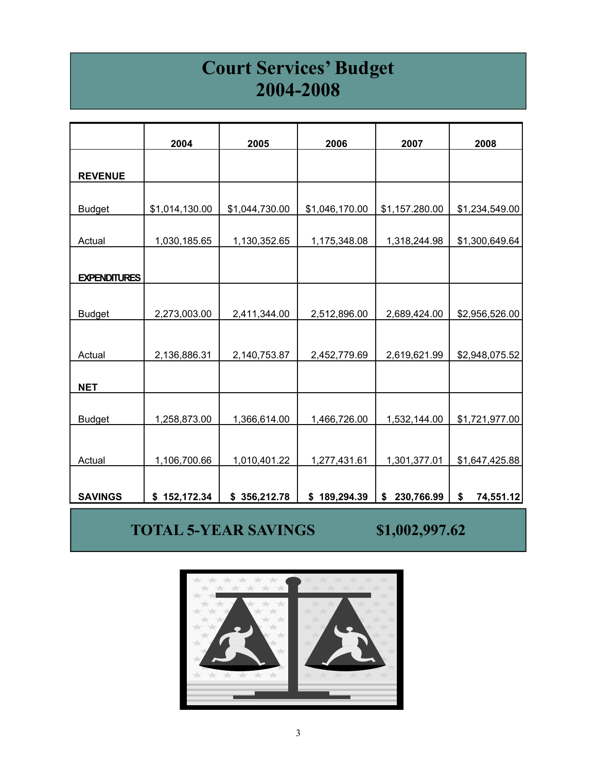## **Court Services' Budget 2004-2008**

|                      | 2004           | 2005           | 2006           | 2007             | 2008            |
|----------------------|----------------|----------------|----------------|------------------|-----------------|
|                      |                |                |                |                  |                 |
| <b>REVENUE</b>       |                |                |                |                  |                 |
| <b>Budget</b>        | \$1,014,130.00 | \$1,044,730.00 | \$1,046,170.00 | \$1,157.280.00   | \$1,234,549.00  |
| <b>Actual</b>        | 1,030,185.65   | 1,130,352.65   | 1,175,348.08   | 1,318,244.98     | \$1,300,649.64  |
| <b>EXPENDITURES</b>  |                |                |                |                  |                 |
| <b>Budget</b>        | 2,273,003.00   | 2,411,344.00   | 2,512,896.00   | 2,689,424.00     | \$2,956,526.00  |
|                      |                |                |                |                  |                 |
| Actual<br><b>NET</b> | 2,136,886.31   | 2,140,753.87   | 2,452,779.69   | 2,619,621.99     | \$2,948,075.52  |
| <b>Budget</b>        | 1,258,873.00   | 1,366,614.00   | 1,466,726.00   | 1,532,144.00     | \$1,721,977.00  |
|                      |                |                |                |                  |                 |
| Actual               | 1,106,700.66   | 1,010,401.22   | 1,277,431.61   | 1,301,377.01     | \$1,647,425.88  |
| <b>SAVINGS</b>       | \$152,172.34   | \$356,212.78   | \$189,294.39   | \$<br>230,766.99 | \$<br>74,551.12 |
|                      |                |                |                |                  |                 |

## **TOTAL 5-YEAR SAVINGS \$1,002,997.62**

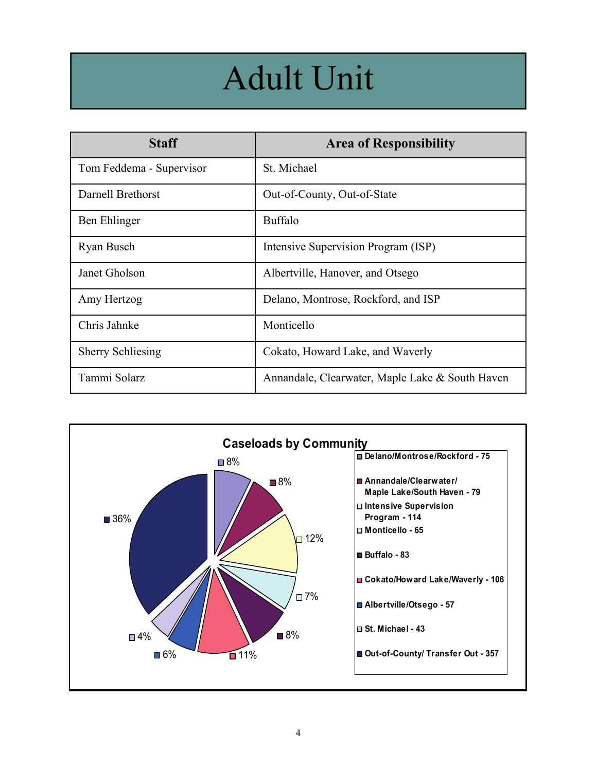## Adult Unit

| <b>Staff</b>             | <b>Area of Responsibility</b>                   |
|--------------------------|-------------------------------------------------|
| Tom Feddema - Supervisor | St. Michael                                     |
| Darnell Brethorst        | Out-of-County, Out-of-State                     |
| Ben Ehlinger             | <b>Buffalo</b>                                  |
| Ryan Busch               | Intensive Supervision Program (ISP)             |
| Janet Gholson            | Albertville, Hanover, and Otsego                |
| Amy Hertzog              | Delano, Montrose, Rockford, and ISP             |
| Chris Jahnke             | Monticello                                      |
| <b>Sherry Schliesing</b> | Cokato, Howard Lake, and Waverly                |
| Tammi Solarz             | Annandale, Clearwater, Maple Lake & South Haven |

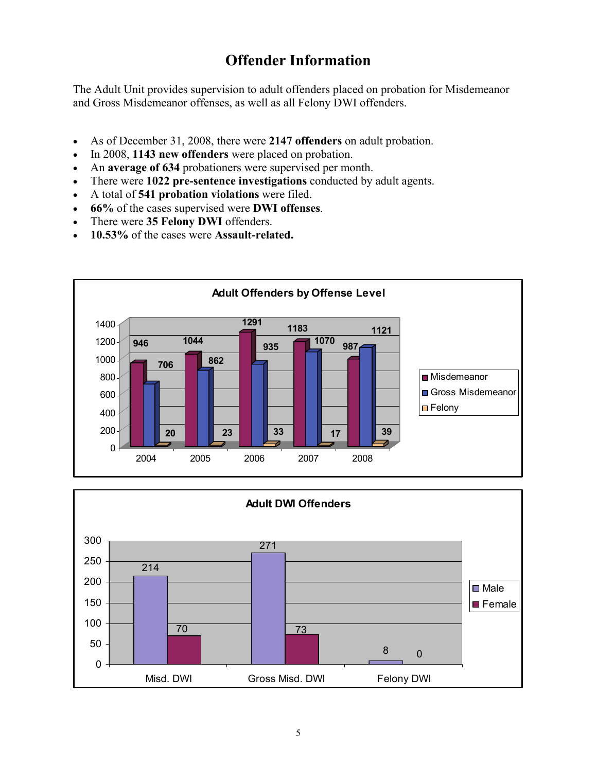## **Offender Information**

The Adult Unit provides supervision to adult offenders placed on probation for Misdemeanor and Gross Misdemeanor offenses, as well as all Felony DWI offenders.

- As of December 31, 2008, there were **2147 offenders** on adult probation.
- In 2008, **1143 new offenders** were placed on probation.
- An **average of 634** probationers were supervised per month.
- There were **1022 pre-sentence investigations** conducted by adult agents.
- A total of **541 probation violations** were filed.
- **66%** of the cases supervised were **DWI offenses**.
- There were **35 Felony DWI** offenders.
- **10.53%** of the cases were **Assault-related.**



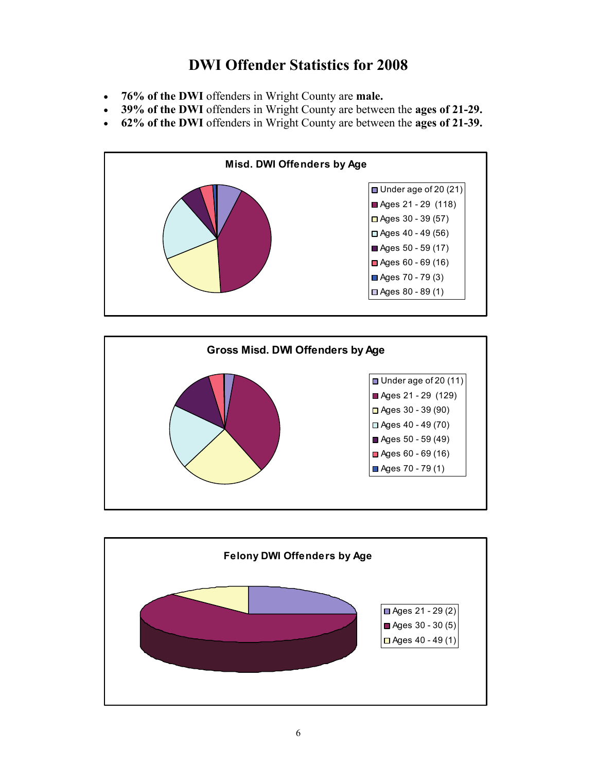## **DWI Offender Statistics for 2008**

- **76% of the DWI** offenders in Wright County are **male.**
- **39% of the DWI** offenders in Wright County are between the **ages of 21-29.**
- **62% of the DWI** offenders in Wright County are between the **ages of 21-39.**





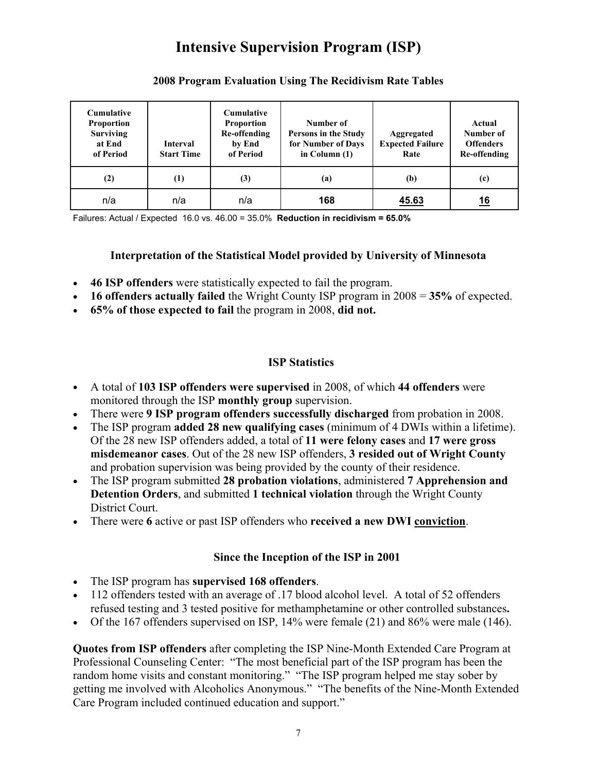## **Intensive Supervision Program (ISP)**

| <b>Cumulative</b><br><b>Proportion</b><br><b>Surviving</b><br>at End<br>of Period | Interval<br><b>Start Time</b> | <b>Cumulative</b><br><b>Proportion</b><br><b>Re-offending</b><br>by End<br>of Period | Number of<br>Persons in the Study<br>for Number of Days<br>in Column $(1)$ | Aggregated<br><b>Expected Failure</b><br>Rate | Actual<br>Number of<br><b>Offenders</b><br>Re-offending |
|-----------------------------------------------------------------------------------|-------------------------------|--------------------------------------------------------------------------------------|----------------------------------------------------------------------------|-----------------------------------------------|---------------------------------------------------------|
| (2)                                                                               | $\left(1\right)$              | (3)                                                                                  | (a)                                                                        | (b)                                           | (c)                                                     |
| n/a                                                                               | n/a                           | n/a                                                                                  | 168                                                                        | 45.63                                         | <u>16</u>                                               |

#### **2008 Program Evaluation Using The Recidivism Rate Tables**

Failures: Actual / Expected 16.0 vs. 46.00 = 35.0% **Reduction in recidivism = 65.0%**

#### **Interpretation of the Statistical Model provided by University of Minnesota**

- **46 ISP offenders** were statistically expected to fail the program.
- **16 offenders actually failed** the Wright County ISP program in 2008 = **35%** of expected.
- **65% of those expected to fail** the program in 2008, **did not.**

#### **ISP Statistics**

- A total of **103 ISP offenders were supervised** in 2008, of which **44 offenders** were monitored through the ISP **monthly group** supervision.
- There were **9 ISP program offenders successfully discharged** from probation in 2008.
- The ISP program **added 28 new qualifying cases** (minimum of 4 DWIs within a lifetime). Of the 28 new ISP offenders added, a total of **11 were felony cases** and **17 were gross misdemeanor cases**. Out of the 28 new ISP offenders, **3 resided out of Wright County**  and probation supervision was being provided by the county of their residence.
- The ISP program submitted **28 probation violations**, administered **7 Apprehension and Detention Orders**, and submitted **1 technical violation** through the Wright County District Court.
- There were **6** active or past ISP offenders who **received a new DWI conviction**.

#### **Since the Inception of the ISP in 2001**

- The ISP program has **supervised 168 offenders**.
- 112 offenders tested with an average of .17 blood alcohol level. A total of 52 offenders refused testing and 3 tested positive for methamphetamine or other controlled substances**.**
- Of the 167 offenders supervised on ISP, 14% were female (21) and 86% were male (146).

**Quotes from ISP offenders** after completing the ISP Nine-Month Extended Care Program at Professional Counseling Center: "The most beneficial part of the ISP program has been the random home visits and constant monitoring." "The ISP program helped me stay sober by getting me involved with Alcoholics Anonymous." "The benefits of the Nine-Month Extended Care Program included continued education and support."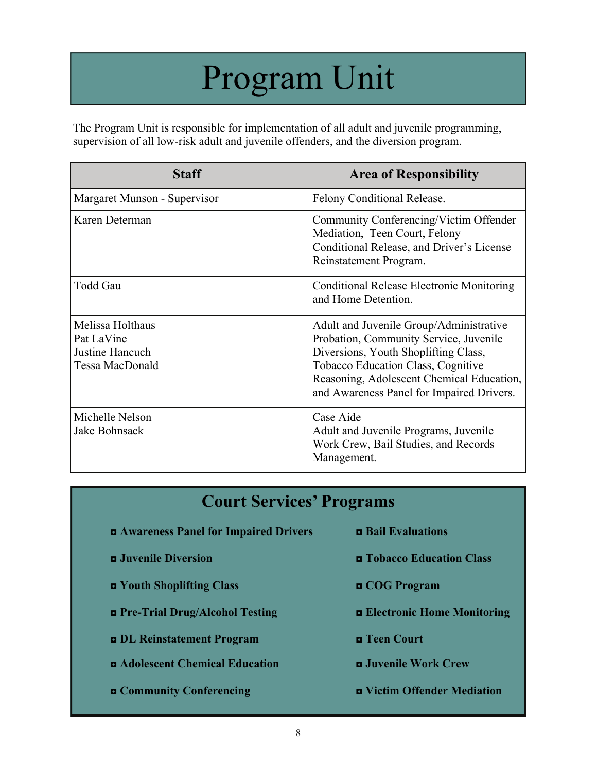## Program Unit

The Program Unit is responsible for implementation of all adult and juvenile programming, supervision of all low-risk adult and juvenile offenders, and the diversion program.

| <b>Staff</b>                                                         | <b>Area of Responsibility</b>                                                                                                                                                                                                                             |
|----------------------------------------------------------------------|-----------------------------------------------------------------------------------------------------------------------------------------------------------------------------------------------------------------------------------------------------------|
| Margaret Munson - Supervisor                                         | Felony Conditional Release.                                                                                                                                                                                                                               |
| Karen Determan                                                       | Community Conferencing/Victim Offender<br>Mediation, Teen Court, Felony<br>Conditional Release, and Driver's License<br>Reinstatement Program.                                                                                                            |
| Todd Gau                                                             | <b>Conditional Release Electronic Monitoring</b><br>and Home Detention.                                                                                                                                                                                   |
| Melissa Holthaus<br>Pat LaVine<br>Justine Hancuch<br>Tessa MacDonald | Adult and Juvenile Group/Administrative<br>Probation, Community Service, Juvenile<br>Diversions, Youth Shoplifting Class,<br>Tobacco Education Class, Cognitive<br>Reasoning, Adolescent Chemical Education,<br>and Awareness Panel for Impaired Drivers. |
| Michelle Nelson<br>Jake Bohnsack                                     | Case Aide<br>Adult and Juvenile Programs, Juvenile<br>Work Crew, Bail Studies, and Records<br>Management.                                                                                                                                                 |

| <b>Court Services' Programs</b>                           |                                          |  |  |  |
|-----------------------------------------------------------|------------------------------------------|--|--|--|
| <b>EXAMPLE ARE A</b> Awareness Panel for Impaired Drivers | <b>Example 1</b> Bail Evaluations        |  |  |  |
| <b>D</b> Juvenile Diversion                               | <b>Example 3 Tobacco Education Class</b> |  |  |  |
| <b>E</b> Youth Shoplifting Class                          | <b>D</b> COG Program                     |  |  |  |
| <b>D</b> Pre-Trial Drug/Alcohol Testing                   | <b>Electronic Home Monitoring</b>        |  |  |  |
| <b>DL</b> Reinstatement Program                           | <b>n</b> Teen Court                      |  |  |  |
| <b>Examplement Chemical Education</b>                     | <b>E</b> Juvenile Work Crew              |  |  |  |
| <b>E</b> Community Conferencing                           | <b>E</b> Victim Offender Mediation       |  |  |  |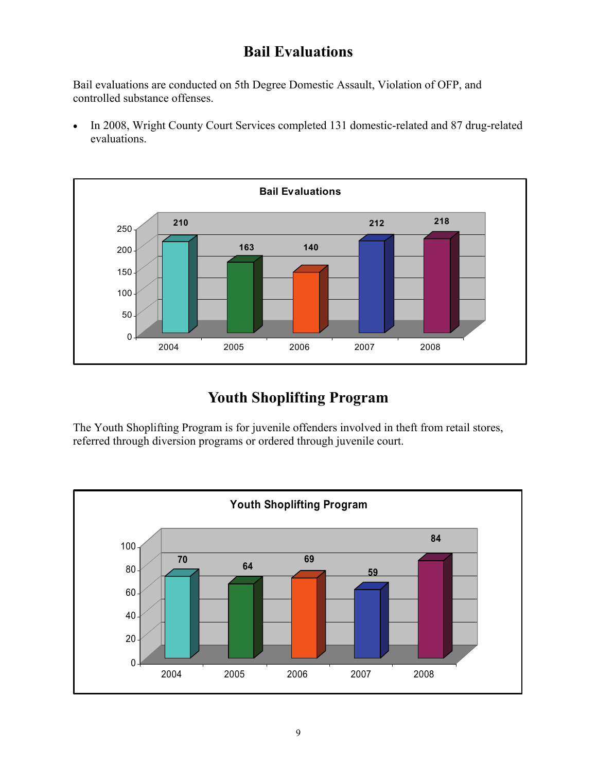## **Bail Evaluations**

Bail evaluations are conducted on 5th Degree Domestic Assault, Violation of OFP, and controlled substance offenses.

 In 2008, Wright County Court Services completed 131 domestic-related and 87 drug-related evaluations.



## **Youth Shoplifting Program**

The Youth Shoplifting Program is for juvenile offenders involved in theft from retail stores, referred through diversion programs or ordered through juvenile court.

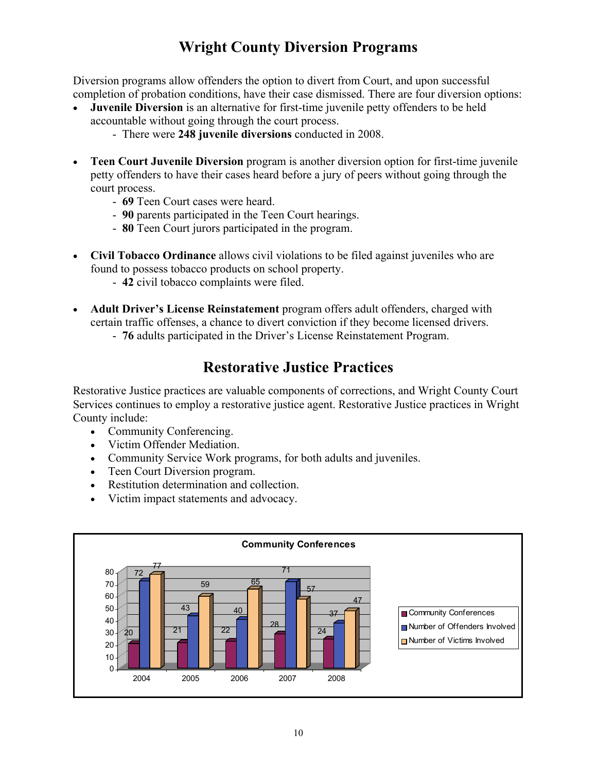## **Wright County Diversion Programs**

Diversion programs allow offenders the option to divert from Court, and upon successful completion of probation conditions, have their case dismissed. There are four diversion options:

- **Juvenile Diversion** is an alternative for first-time juvenile petty offenders to be held accountable without going through the court process.
	- There were **248 juvenile diversions** conducted in 2008.
- **Teen Court Juvenile Diversion** program is another diversion option for first-time juvenile petty offenders to have their cases heard before a jury of peers without going through the court process.
	- **69** Teen Court cases were heard.
	- **90** parents participated in the Teen Court hearings.
	- **80** Teen Court jurors participated in the program.
- **Civil Tobacco Ordinance** allows civil violations to be filed against juveniles who are found to possess tobacco products on school property.
	- **42** civil tobacco complaints were filed.
- **Adult Driver's License Reinstatement** program offers adult offenders, charged with certain traffic offenses, a chance to divert conviction if they become licensed drivers.
	- **76** adults participated in the Driver's License Reinstatement Program.

## **Restorative Justice Practices**

Restorative Justice practices are valuable components of corrections, and Wright County Court Services continues to employ a restorative justice agent. Restorative Justice practices in Wright County include:

- Community Conferencing.
- Victim Offender Mediation.
- Community Service Work programs, for both adults and juveniles.
- Teen Court Diversion program.
- Restitution determination and collection.
- Victim impact statements and advocacy.

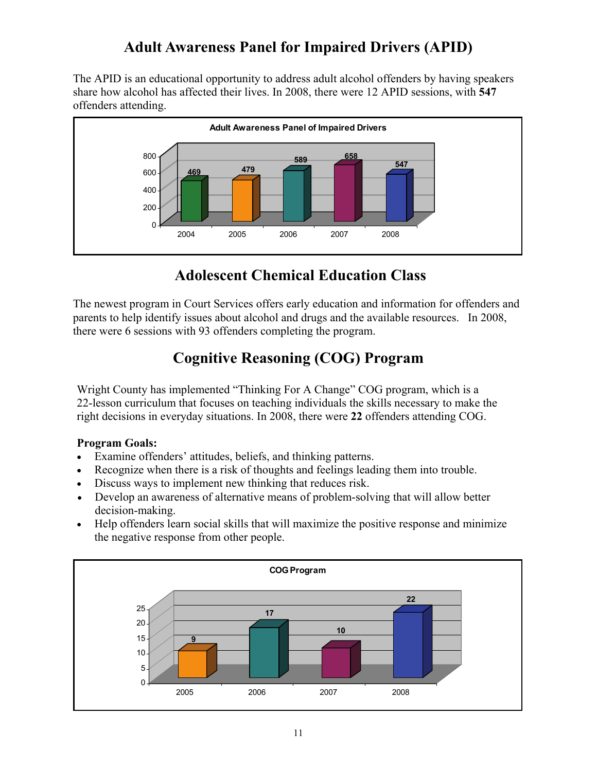## **Adult Awareness Panel for Impaired Drivers (APID)**

The APID is an educational opportunity to address adult alcohol offenders by having speakers share how alcohol has affected their lives. In 2008, there were 12 APID sessions, with **547** offenders attending.



## **Adolescent Chemical Education Class**

The newest program in Court Services offers early education and information for offenders and parents to help identify issues about alcohol and drugs and the available resources. In 2008, there were 6 sessions with 93 offenders completing the program.

## **Cognitive Reasoning (COG) Program**

Wright County has implemented "Thinking For A Change" COG program, which is a 22-lesson curriculum that focuses on teaching individuals the skills necessary to make the right decisions in everyday situations. In 2008, there were **22** offenders attending COG.

#### **Program Goals:**

- Examine offenders' attitudes, beliefs, and thinking patterns.
- Recognize when there is a risk of thoughts and feelings leading them into trouble.
- Discuss ways to implement new thinking that reduces risk.
- Develop an awareness of alternative means of problem-solving that will allow better decision-making.
- Help offenders learn social skills that will maximize the positive response and minimize the negative response from other people.

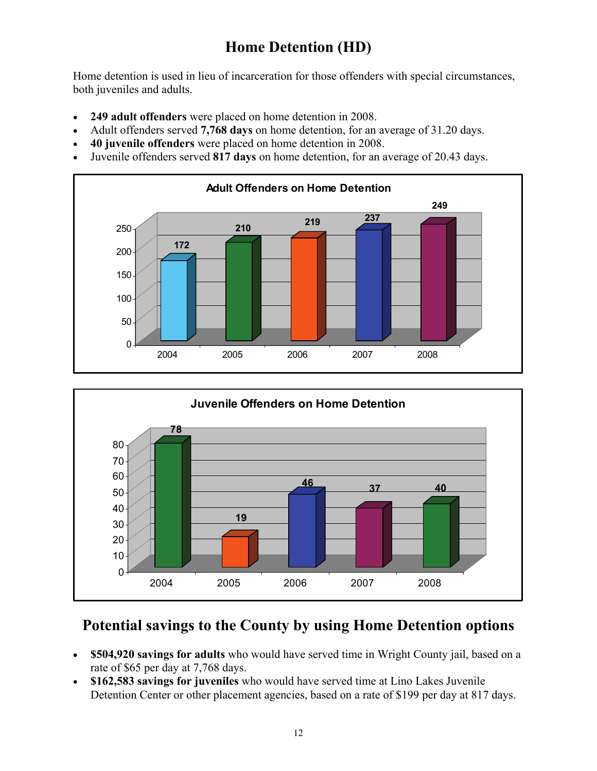## **Home Detention (HD)**

Home detention is used in lieu of incarceration for those offenders with special circumstances, both juveniles and adults.

- **249 adult offenders** were placed on home detention in 2008.
- Adult offenders served **7,768 days** on home detention, for an average of 31.20 days.
- **40 juvenile offenders** were placed on home detention in 2008.
- Juvenile offenders served **817 days** on home detention, for an average of 20.43 days.





## **Potential savings to the County by using Home Detention options**

- **\$504,920 savings for adults** who would have served time in Wright County jail, based on a rate of \$65 per day at 7,768 days.
- **\$162,583 savings for juveniles** who would have served time at Lino Lakes Juvenile Detention Center or other placement agencies, based on a rate of \$199 per day at 817 days.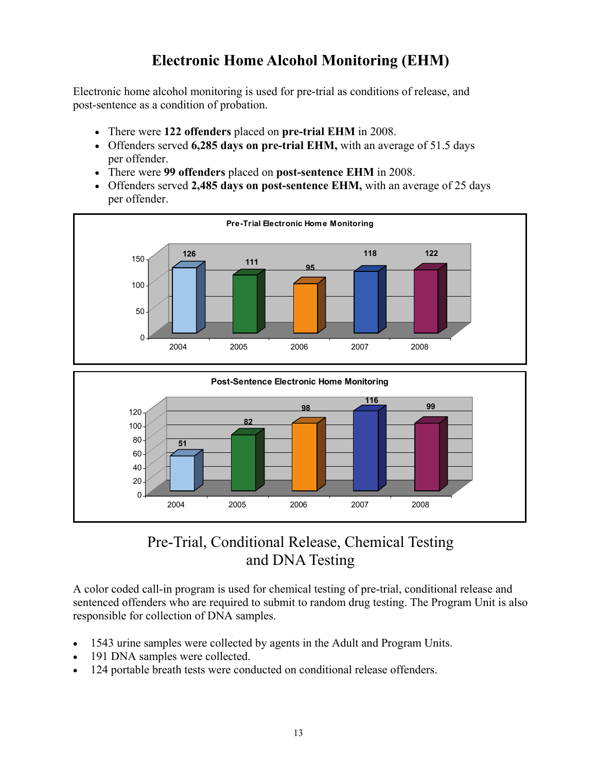## **Electronic Home Alcohol Monitoring (EHM)**

Electronic home alcohol monitoring is used for pre-trial as conditions of release, and post-sentence as a condition of probation.

- There were **122 offenders** placed on **pre-trial EHM** in 2008.
- Offenders served **6,285 days on pre-trial EHM,** with an average of 51.5 days per offender.
- There were **99 offenders** placed on **post-sentence EHM** in 2008.
- Offenders served **2,485 days on post-sentence EHM,** with an average of 25 days per offender.





### Pre-Trial, Conditional Release, Chemical Testing and DNA Testing

A color coded call-in program is used for chemical testing of pre-trial, conditional release and sentenced offenders who are required to submit to random drug testing. The Program Unit is also responsible for collection of DNA samples.

- 1543 urine samples were collected by agents in the Adult and Program Units.
- 191 DNA samples were collected.
- 124 portable breath tests were conducted on conditional release offenders.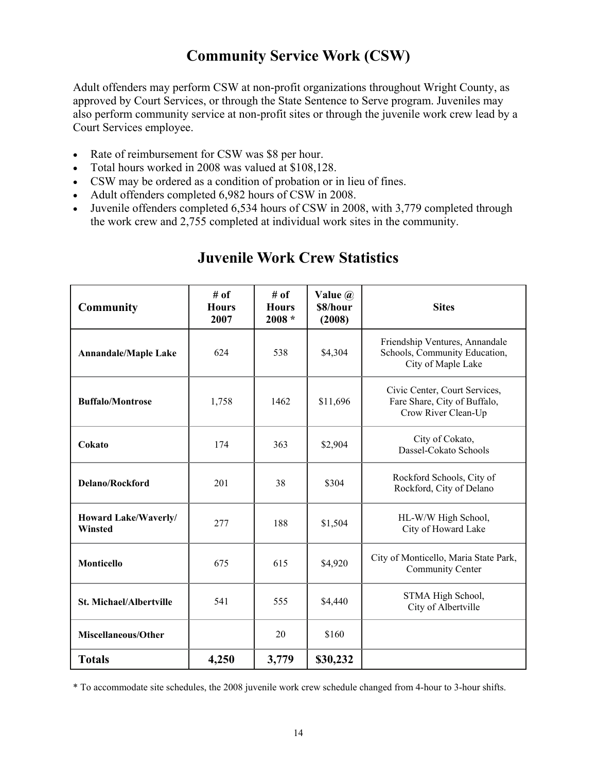## **Community Service Work (CSW)**

Adult offenders may perform CSW at non-profit organizations throughout Wright County, as approved by Court Services, or through the State Sentence to Serve program. Juveniles may also perform community service at non-profit sites or through the juvenile work crew lead by a Court Services employee.

- Rate of reimbursement for CSW was \$8 per hour.
- Total hours worked in 2008 was valued at \$108,128.
- CSW may be ordered as a condition of probation or in lieu of fines.
- Adult offenders completed 6,982 hours of CSW in 2008.
- Juvenile offenders completed 6,534 hours of CSW in 2008, with 3,779 completed through the work crew and 2,755 completed at individual work sites in the community.

| <b>Community</b>                       | # of<br><b>Hours</b><br>2007 | # of<br><b>Hours</b><br>$2008 *$ | Value $\omega$<br>\$8/hour<br>(2008) | <b>Sites</b>                                                                          |  |
|----------------------------------------|------------------------------|----------------------------------|--------------------------------------|---------------------------------------------------------------------------------------|--|
| <b>Annandale/Maple Lake</b>            | 624                          | 538                              | \$4,304                              | Friendship Ventures, Annandale<br>Schools, Community Education,<br>City of Maple Lake |  |
| <b>Buffalo/Montrose</b>                | 1,758                        | 1462                             | \$11,696                             | Civic Center, Court Services,<br>Fare Share, City of Buffalo,<br>Crow River Clean-Up  |  |
| Cokato                                 | 174                          | 363                              | \$2,904                              | City of Cokato,<br>Dassel-Cokato Schools                                              |  |
| <b>Delano/Rockford</b>                 | 201                          | 38                               | \$304                                | Rockford Schools, City of<br>Rockford, City of Delano                                 |  |
| Howard Lake/Waverly/<br><b>Winsted</b> | 277                          | 188                              | \$1,504                              | HL-W/W High School,<br>City of Howard Lake                                            |  |
| Monticello                             | 675                          | 615                              | \$4,920                              | City of Monticello, Maria State Park,<br>Community Center                             |  |
| <b>St. Michael/Albertville</b>         | 541                          | 555                              | \$4,440                              | STMA High School,<br>City of Albertville                                              |  |
| Miscellaneous/Other                    |                              | 20                               | \$160                                |                                                                                       |  |
| <b>Totals</b>                          | 4,250                        | 3,779                            | \$30,232                             |                                                                                       |  |

## **Juvenile Work Crew Statistics**

\* To accommodate site schedules, the 2008 juvenile work crew schedule changed from 4-hour to 3-hour shifts.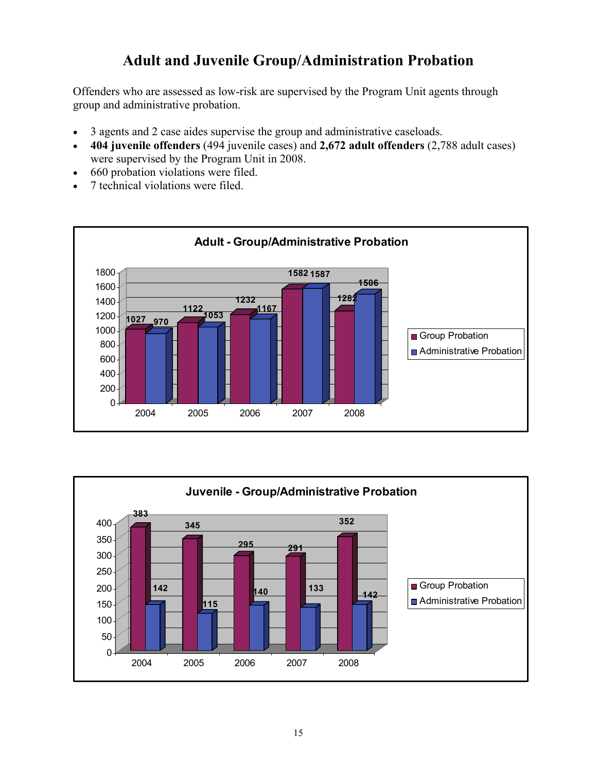## **Adult and Juvenile Group/Administration Probation**

Offenders who are assessed as low-risk are supervised by the Program Unit agents through group and administrative probation.

- 3 agents and 2 case aides supervise the group and administrative caseloads.
- **404 juvenile offenders** (494 juvenile cases) and **2,672 adult offenders** (2,788 adult cases) were supervised by the Program Unit in 2008.
- 660 probation violations were filed.
- 7 technical violations were filed.



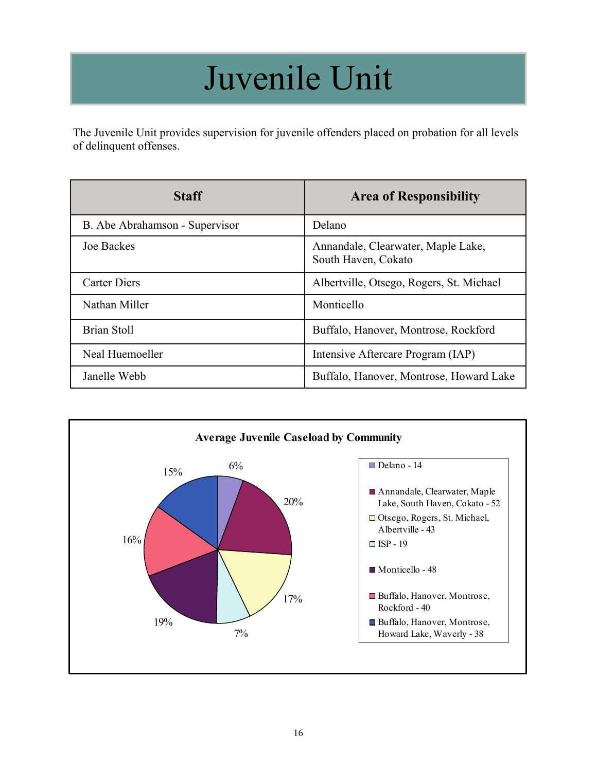## Juvenile Unit

The Juvenile Unit provides supervision for juvenile offenders placed on probation for all levels of delinquent offenses.

| <b>Staff</b>                   | <b>Area of Responsibility</b>                             |
|--------------------------------|-----------------------------------------------------------|
| B. Abe Abrahamson - Supervisor | Delano                                                    |
| <b>Joe Backes</b>              | Annandale, Clearwater, Maple Lake,<br>South Haven, Cokato |
| <b>Carter Diers</b>            | Albertville, Otsego, Rogers, St. Michael                  |
| Nathan Miller                  | Monticello                                                |
| <b>Brian Stoll</b>             | Buffalo, Hanover, Montrose, Rockford                      |
| Neal Huemoeller                | Intensive Aftercare Program (IAP)                         |
| Janelle Webb                   | Buffalo, Hanover, Montrose, Howard Lake                   |

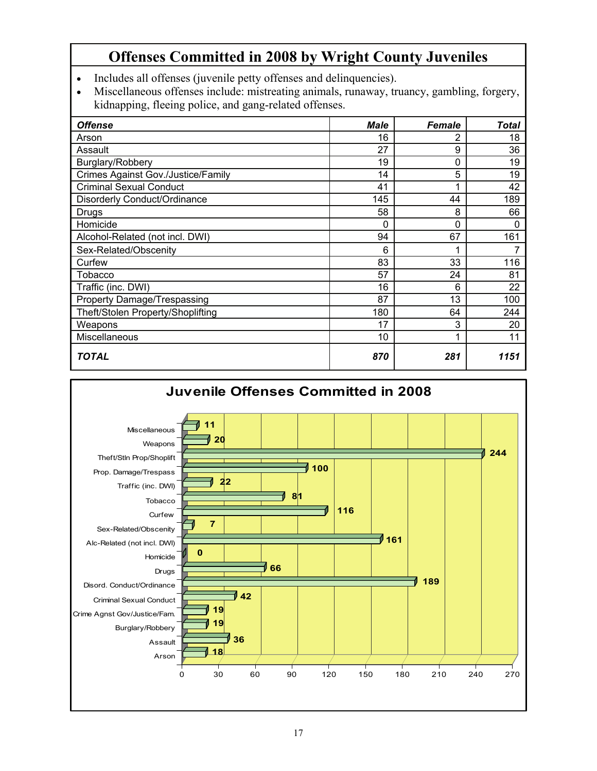## **Offenses Committed in 2008 by Wright County Juveniles**

- Includes all offenses (juvenile petty offenses and delinquencies).
- Miscellaneous offenses include: mistreating animals, runaway, truancy, gambling, forgery, kidnapping, fleeing police, and gang-related offenses.

| <b>Offense</b>                            | <b>Male</b> | <b>Female</b> | Total |
|-------------------------------------------|-------------|---------------|-------|
| Arson                                     | 16          | 2             | 18    |
| Assault                                   | 27          | 9             | 36    |
| Burglary/Robbery                          | 19          | $\mathbf 0$   | 19    |
| <b>Crimes Against Gov./Justice/Family</b> | 14          | 5             | 19    |
| <b>Criminal Sexual Conduct</b>            | 41          |               | 42    |
| Disorderly Conduct/Ordinance              | 145         | 44            | 189   |
| Drugs                                     | 58          | 8             | 66    |
| Homicide                                  | 0           | $\Omega$      | 0     |
| Alcohol-Related (not incl. DWI)           | 94          | 67            | 161   |
| Sex-Related/Obscenity                     | 6           |               |       |
| Curfew                                    | 83          | 33            | 116   |
| Tobacco                                   | 57          | 24            | 81    |
| Traffic (inc. DWI)                        | 16          | 6             | 22    |
| Property Damage/Trespassing               | 87          | 13            | 100   |
| Theft/Stolen Property/Shoplifting         | 180         | 64            | 244   |
| Weapons                                   | 17          | 3             | 20    |
| Miscellaneous                             | 10          |               | 11    |
| <b>TOTAL</b>                              | 870         | 281           | 1151  |

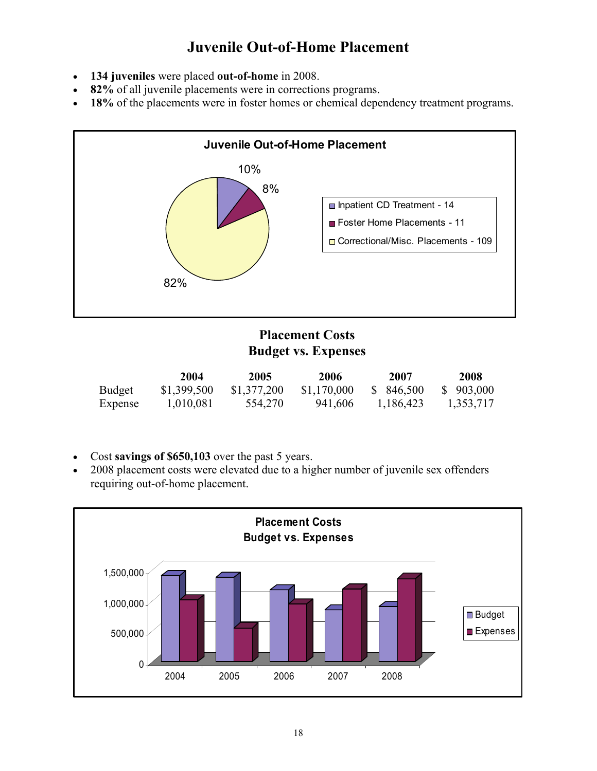## **Juvenile Out-of-Home Placement**

- **134 juveniles** were placed **out-of-home** in 2008.
- **82%** of all juvenile placements were in corrections programs.
- **18%** of the placements were in foster homes or chemical dependency treatment programs.



#### **Placement Costs Budget vs. Expenses**

|         | 2004        | 2005        | 2006        | 2007       | 2008      |
|---------|-------------|-------------|-------------|------------|-----------|
| Budget  | \$1,399,500 | \$1,377,200 | \$1,170,000 | \$ 846,500 | \$903,000 |
| Expense | 1,010,081   | 554,270     | 941,606     | 1,186,423  | 1,353,717 |

- Cost **savings of \$650,103** over the past 5 years.
- 2008 placement costs were elevated due to a higher number of juvenile sex offenders requiring out-of-home placement.

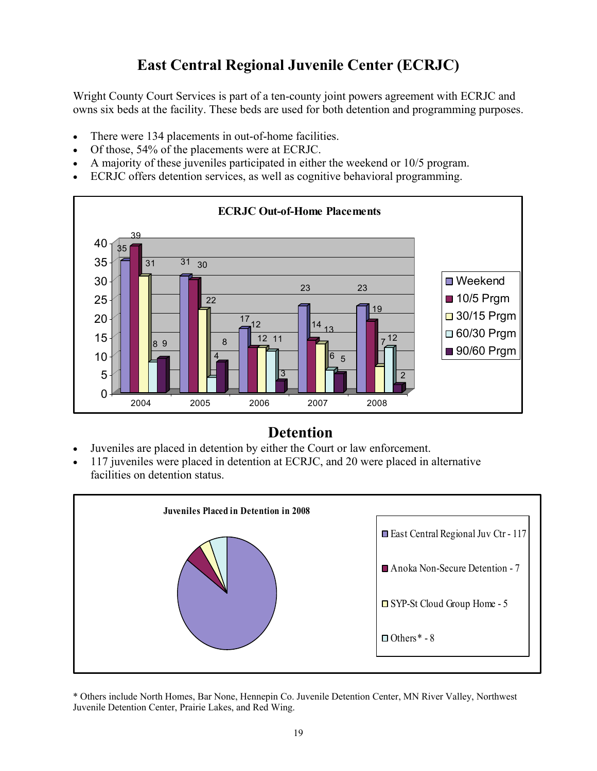## **East Central Regional Juvenile Center (ECRJC)**

Wright County Court Services is part of a ten-county joint powers agreement with ECRJC and owns six beds at the facility. These beds are used for both detention and programming purposes.

- There were 134 placements in out-of-home facilities.
- Of those, 54% of the placements were at ECRJC.
- A majority of these juveniles participated in either the weekend or 10/5 program.
- ECRJC offers detention services, as well as cognitive behavioral programming.



### **Detention**

- Juveniles are placed in detention by either the Court or law enforcement.
- 117 juveniles were placed in detention at ECRJC, and 20 were placed in alternative facilities on detention status.



\* Others include North Homes, Bar None, Hennepin Co. Juvenile Detention Center, MN River Valley, Northwest Juvenile Detention Center, Prairie Lakes, and Red Wing.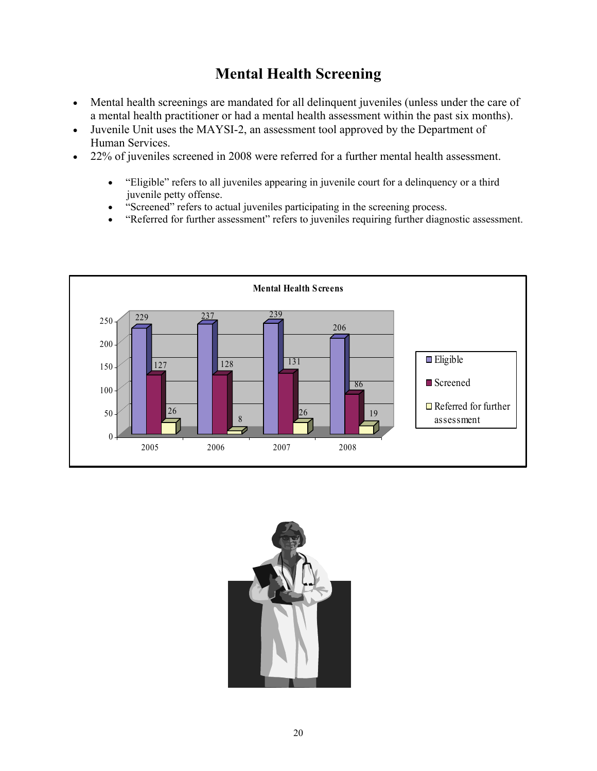## **Mental Health Screening**

- Mental health screenings are mandated for all delinquent juveniles (unless under the care of a mental health practitioner or had a mental health assessment within the past six months).
- Juvenile Unit uses the MAYSI-2, an assessment tool approved by the Department of Human Services.
- 22% of juveniles screened in 2008 were referred for a further mental health assessment.
	- "Eligible" refers to all juveniles appearing in juvenile court for a delinquency or a third juvenile petty offense.
	- "Screened" refers to actual juveniles participating in the screening process.
	- "Referred for further assessment" refers to juveniles requiring further diagnostic assessment.



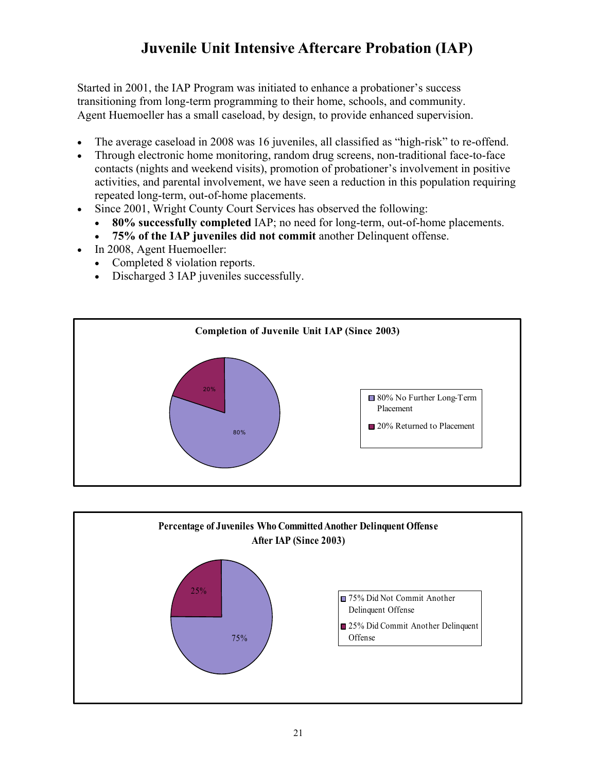## **Juvenile Unit Intensive Aftercare Probation (IAP)**

Started in 2001, the IAP Program was initiated to enhance a probationer's success transitioning from long-term programming to their home, schools, and community. Agent Huemoeller has a small caseload, by design, to provide enhanced supervision.

- The average caseload in 2008 was 16 juveniles, all classified as "high-risk" to re-offend.
- Through electronic home monitoring, random drug screens, non-traditional face-to-face contacts (nights and weekend visits), promotion of probationer's involvement in positive activities, and parental involvement, we have seen a reduction in this population requiring repeated long-term, out-of-home placements.
- Since 2001, Wright County Court Services has observed the following:
	- **80% successfully completed** IAP; no need for long-term, out-of-home placements.
	- **75% of the IAP juveniles did not commit** another Delinquent offense.
- In 2008, Agent Huemoeller:
	- Completed 8 violation reports.
	- Discharged 3 IAP juveniles successfully.



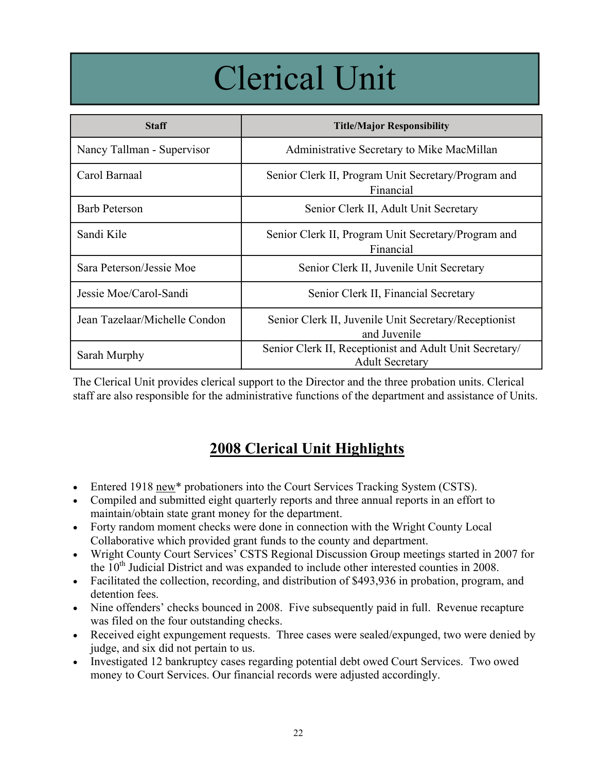## Clerical Unit

| <b>Staff</b>                  | <b>Title/Major Responsibility</b>                                                 |
|-------------------------------|-----------------------------------------------------------------------------------|
| Nancy Tallman - Supervisor    | Administrative Secretary to Mike MacMillan                                        |
| Carol Barnaal                 | Senior Clerk II, Program Unit Secretary/Program and<br>Financial                  |
| <b>Barb Peterson</b>          | Senior Clerk II, Adult Unit Secretary                                             |
| Sandi Kile                    | Senior Clerk II, Program Unit Secretary/Program and<br>Financial                  |
| Sara Peterson/Jessie Moe      | Senior Clerk II, Juvenile Unit Secretary                                          |
| Jessie Moe/Carol-Sandi        | Senior Clerk II, Financial Secretary                                              |
| Jean Tazelaar/Michelle Condon | Senior Clerk II, Juvenile Unit Secretary/Receptionist<br>and Juvenile             |
| Sarah Murphy                  | Senior Clerk II, Receptionist and Adult Unit Secretary/<br><b>Adult Secretary</b> |

The Clerical Unit provides clerical support to the Director and the three probation units. Clerical staff are also responsible for the administrative functions of the department and assistance of Units.

## **2008 Clerical Unit Highlights**

- Entered 1918 new\* probationers into the Court Services Tracking System (CSTS).
- Compiled and submitted eight quarterly reports and three annual reports in an effort to maintain/obtain state grant money for the department.
- Forty random moment checks were done in connection with the Wright County Local Collaborative which provided grant funds to the county and department.
- Wright County Court Services' CSTS Regional Discussion Group meetings started in 2007 for the  $10<sup>th</sup>$  Judicial District and was expanded to include other interested counties in 2008.
- Facilitated the collection, recording, and distribution of \$493,936 in probation, program, and detention fees.
- Nine offenders' checks bounced in 2008. Five subsequently paid in full. Revenue recapture was filed on the four outstanding checks.
- Received eight expungement requests. Three cases were sealed/expunged, two were denied by judge, and six did not pertain to us.
- Investigated 12 bankruptcy cases regarding potential debt owed Court Services. Two owed money to Court Services. Our financial records were adjusted accordingly.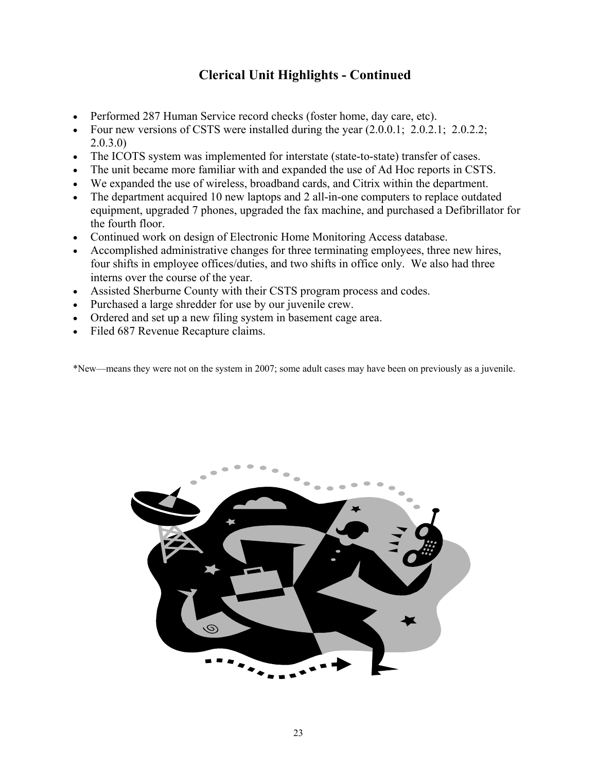#### **Clerical Unit Highlights - Continued**

- Performed 287 Human Service record checks (foster home, day care, etc).
- Four new versions of CSTS were installed during the year  $(2.0.0.1; 2.0.2.1; 2.0.2.2;$ 2.0.3.0)
- The ICOTS system was implemented for interstate (state-to-state) transfer of cases.
- The unit became more familiar with and expanded the use of Ad Hoc reports in CSTS.
- We expanded the use of wireless, broadband cards, and Citrix within the department.
- The department acquired 10 new laptops and 2 all-in-one computers to replace outdated equipment, upgraded 7 phones, upgraded the fax machine, and purchased a Defibrillator for the fourth floor.
- Continued work on design of Electronic Home Monitoring Access database.
- Accomplished administrative changes for three terminating employees, three new hires, four shifts in employee offices/duties, and two shifts in office only. We also had three interns over the course of the year.
- Assisted Sherburne County with their CSTS program process and codes.
- Purchased a large shredder for use by our juvenile crew.
- Ordered and set up a new filing system in basement cage area.
- Filed 687 Revenue Recapture claims.

\*New—means they were not on the system in 2007; some adult cases may have been on previously as a juvenile.

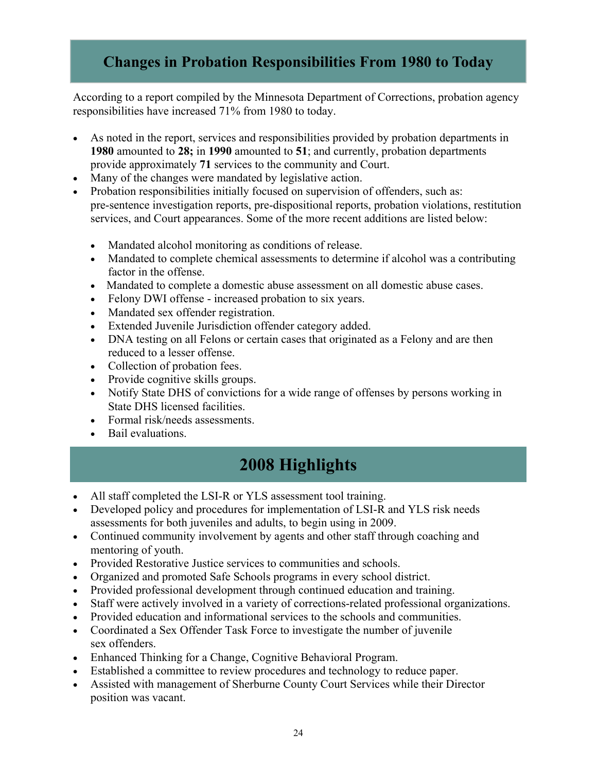## **Changes in Probation Responsibilities From 1980 to Today**

According to a report compiled by the Minnesota Department of Corrections, probation agency responsibilities have increased 71% from 1980 to today.

- As noted in the report, services and responsibilities provided by probation departments in **1980** amounted to **28;** in **1990** amounted to **51**; and currently, probation departments provide approximately **71** services to the community and Court.
- Many of the changes were mandated by legislative action.
- Probation responsibilities initially focused on supervision of offenders, such as: pre-sentence investigation reports, pre-dispositional reports, probation violations, restitution services, and Court appearances. Some of the more recent additions are listed below:
	- Mandated alcohol monitoring as conditions of release.
	- Mandated to complete chemical assessments to determine if alcohol was a contributing factor in the offense.
	- Mandated to complete a domestic abuse assessment on all domestic abuse cases.
	- Felony DWI offense increased probation to six years.
	- Mandated sex offender registration.
	- Extended Juvenile Jurisdiction offender category added.
	- DNA testing on all Felons or certain cases that originated as a Felony and are then reduced to a lesser offense.
	- Collection of probation fees.
	- Provide cognitive skills groups.
	- Notify State DHS of convictions for a wide range of offenses by persons working in State DHS licensed facilities.
	- Formal risk/needs assessments.
	- Bail evaluations.

## **2008 Highlights**

- All staff completed the LSI-R or YLS assessment tool training.
- Developed policy and procedures for implementation of LSI-R and YLS risk needs assessments for both juveniles and adults, to begin using in 2009.
- Continued community involvement by agents and other staff through coaching and mentoring of youth.
- Provided Restorative Justice services to communities and schools.
- Organized and promoted Safe Schools programs in every school district.
- Provided professional development through continued education and training.
- Staff were actively involved in a variety of corrections-related professional organizations.
- Provided education and informational services to the schools and communities.
- Coordinated a Sex Offender Task Force to investigate the number of juvenile sex offenders.
- Enhanced Thinking for a Change, Cognitive Behavioral Program.
- Established a committee to review procedures and technology to reduce paper.
- Assisted with management of Sherburne County Court Services while their Director position was vacant.